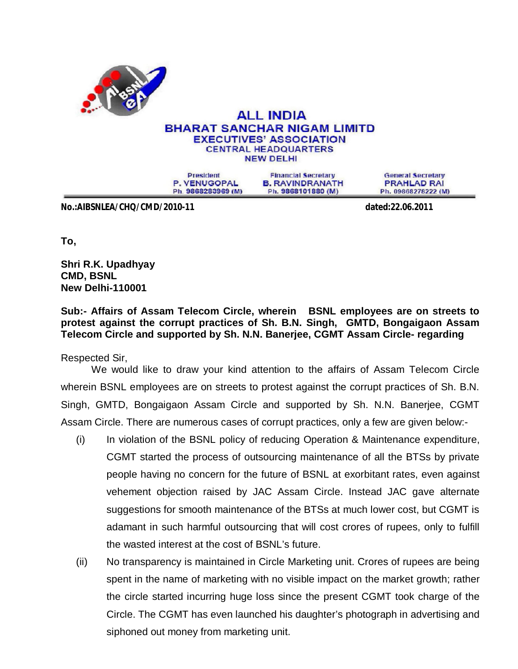

## **ALL INDIA BHARAT SANCHAR NIGAM LIMITD EXECUTIVES' ASSOCIATION CENTRAL HEADQUARTERS NEW DELHI**

**President** P. VENUGOPAL Ph. 9868283969 (M)

**Financial Secretary B. RAVINDRANATH** Ph. 9868101880 (M)

**General Secretary PRAHLAD RAI** Ph. 09868278222 (M)

**No.:AIBSNLEA/CHQ/CMD/2010-11 dated:22.06.2011**

**To,**

**Shri R.K. Upadhyay CMD, BSNL New Delhi-110001**

**Sub:- Affairs of Assam Telecom Circle, wherein BSNL employees are on streets to protest against the corrupt practices of Sh. B.N. Singh, GMTD, Bongaigaon Assam Telecom Circle and supported by Sh. N.N. Banerjee, CGMT Assam Circle- regarding** 

Respected Sir,

We would like to draw your kind attention to the affairs of Assam Telecom Circle wherein BSNL employees are on streets to protest against the corrupt practices of Sh. B.N. Singh, GMTD, Bongaigaon Assam Circle and supported by Sh. N.N. Banerjee, CGMT Assam Circle. There are numerous cases of corrupt practices, only a few are given below:-

- (i) In violation of the BSNL policy of reducing Operation & Maintenance expenditure, CGMT started the process of outsourcing maintenance of all the BTSs by private people having no concern for the future of BSNL at exorbitant rates, even against vehement objection raised by JAC Assam Circle. Instead JAC gave alternate suggestions for smooth maintenance of the BTSs at much lower cost, but CGMT is adamant in such harmful outsourcing that will cost crores of rupees, only to fulfill the wasted interest at the cost of BSNL's future.
- (ii) No transparency is maintained in Circle Marketing unit. Crores of rupees are being spent in the name of marketing with no visible impact on the market growth; rather the circle started incurring huge loss since the present CGMT took charge of the Circle. The CGMT has even launched his daughter's photograph in advertising and siphoned out money from marketing unit.